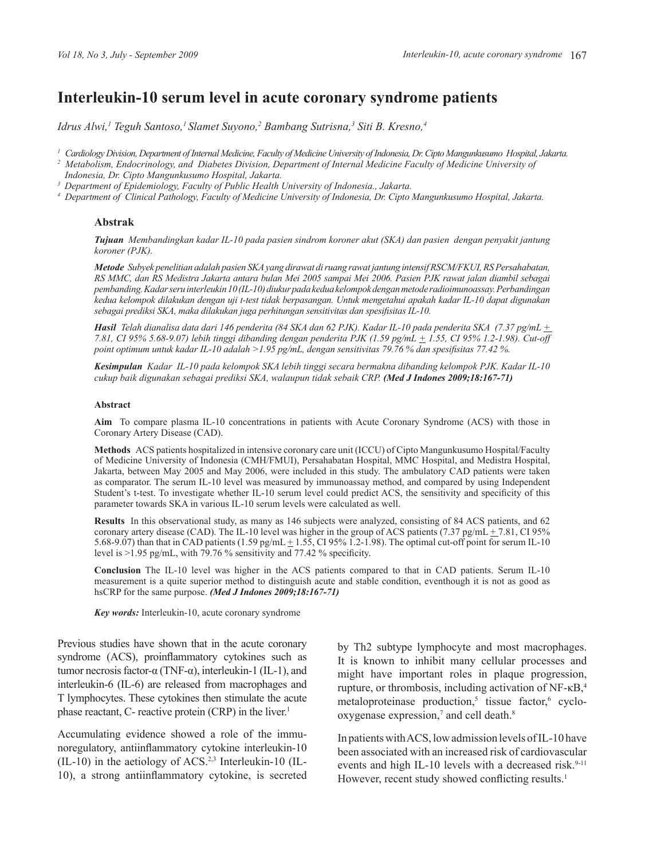# **Interleukin-10 serum level in acute coronary syndrome patients**

Idrus Alwi,<sup>1</sup> Teguh Santoso,<sup>1</sup> Slamet Suyono,<sup>2</sup> Bambang Sutrisna,<sup>3</sup> Siti B. Kresno,<sup>4</sup>

*1 Cardiology Division, Department of Internal Medicine, Faculty of Medicine University of Indonesia, Dr. Cipto Mangunkusumo Hospital, Jakarta.*

*<sup>2</sup> Metabolism, Endocrinology, and Diabetes Division, Department of Internal Medicine Faculty of Medicine University of Indonesia, Dr. Cipto Mangunkusumo Hospital, Jakarta.*

*3 Department of Epidemiology, Faculty of Public Health University of Indonesia., Jakarta.*

*<sup>4</sup> Department of Clinical Pathology, Faculty of Medicine University of Indonesia, Dr. Cipto Mangunkusumo Hospital, Jakarta.*

#### **Abstrak**

*Tujuan Membandingkan kadar IL-10 pada pasien sindrom koroner akut (SKA) dan pasien dengan penyakit jantung koroner (PJK).*

*Metode Subyek penelitian adalah pasien SKA yang dirawat di ruang rawat jantung intensif RSCM/FKUI, RS Persahabatan, RS MMC, dan RS Medistra Jakarta antara bulan Mei 2005 sampai Mei 2006. Pasien PJK rawat jalan diambil sebagai pembanding. Kadar seru interleukin 10 (IL-10) diukur pada kedua kelompok dengan metode radioimunoassay. Perbandingan kedua kelompok dilakukan dengan uji t-test tidak berpasangan. Untuk mengetahui apakah kadar IL-10 dapat digunakan sebagai prediksi SKA, maka dilakukan juga perhitungan sensitivitas dan spesifisitas IL-10.*

*Hasil Telah dianalisa data dari 146 penderita (84 SKA dan 62 PJK). Kadar IL-10 pada penderita SKA (7.37 pg/mL + 7.81, CI 95% 5.68-9.07) lebih tinggi dibanding dengan penderita PJK (1.59 pg/mL + 1.55, CI 95% 1.2-1.98). Cut-off point optimum untuk kadar IL-10 adalah >1.95 pg/mL, dengan sensitivitas 79.76 % dan spesifisitas 77.42 %.*

*Kesimpulan Kadar IL-10 pada kelompok SKA lebih tinggi secara bermakna dibanding kelompok PJK. Kadar IL-10 cukup baik digunakan sebagai prediksi SKA, walaupun tidak sebaik CRP. (Med J Indones 2009;18:167-71)* 

#### **Abstract**

**Aim** To compare plasma IL-10 concentrations in patients with Acute Coronary Syndrome (ACS) with those in Coronary Artery Disease (CAD).

**Methods** ACS patients hospitalized in intensive coronary care unit (ICCU) of Cipto Mangunkusumo Hospital/Faculty of Medicine University of Indonesia (CMH/FMUI), Persahabatan Hospital, MMC Hospital, and Medistra Hospital, Jakarta, between May 2005 and May 2006, were included in this study. The ambulatory CAD patients were taken as comparator. The serum IL-10 level was measured by immunoassay method, and compared by using Independent Student's t-test. To investigate whether IL-10 serum level could predict ACS, the sensitivity and specificity of this parameter towards SKA in various IL-10 serum levels were calculated as well.

**Results** In this observational study, as many as 146 subjects were analyzed, consisting of 84 ACS patients, and 62 coronary artery disease (CAD). The IL-10 level was higher in the group of ACS patients (7.37 pg/mL  $+ 7.81$ , CI 95% 5.68-9.07) than that in CAD patients  $(1.59 \text{ pg/mL} \pm 1.55, \text{ CI } 95\%$  1.2-1.98). The optimal cut-off point for serum IL-10 level is  $>1.95$  pg/mL, with 79.76 % sensitivity and 77.42 % specificity.

**Conclusion** The IL-10 level was higher in the ACS patients compared to that in CAD patients. Serum IL-10 measurement is a quite superior method to distinguish acute and stable condition, eventhough it is not as good as hsCRP for the same purpose. *(Med J Indones 2009;18:167-71)*

*Key words:* Interleukin-10, acute coronary syndrome

Previous studies have shown that in the acute coronary syndrome (ACS), proinflammatory cytokines such as tumor necrosis factor-α (TNF-α), interleukin-1 (IL-1), and interleukin-6 (IL-6) are released from macrophages and T lymphocytes. These cytokines then stimulate the acute phase reactant, C- reactive protein (CRP) in the liver.<sup>1</sup>

Accumulating evidence showed a role of the immunoregulatory, antiinflammatory cytokine interleukin-10 (IL-10) in the aetiology of ACS.2,3 Interleukin-10 (IL-10), a strong antiinflammatory cytokine, is secreted by Th2 subtype lymphocyte and most macrophages. It is known to inhibit many cellular processes and might have important roles in plaque progression, rupture, or thrombosis, including activation of NF-κB,<sup>4</sup> metaloproteinase production,<sup>5</sup> tissue factor,<sup>6</sup> cyclo $oxygenase expression<sub>1</sub><sup>7</sup>$  and cell death. $8$ 

In patients with ACS, low admission levels of IL-10 have been associated with an increased risk of cardiovascular events and high IL-10 levels with a decreased risk.<sup>9-11</sup> However, recent study showed conflicting results.<sup>1</sup>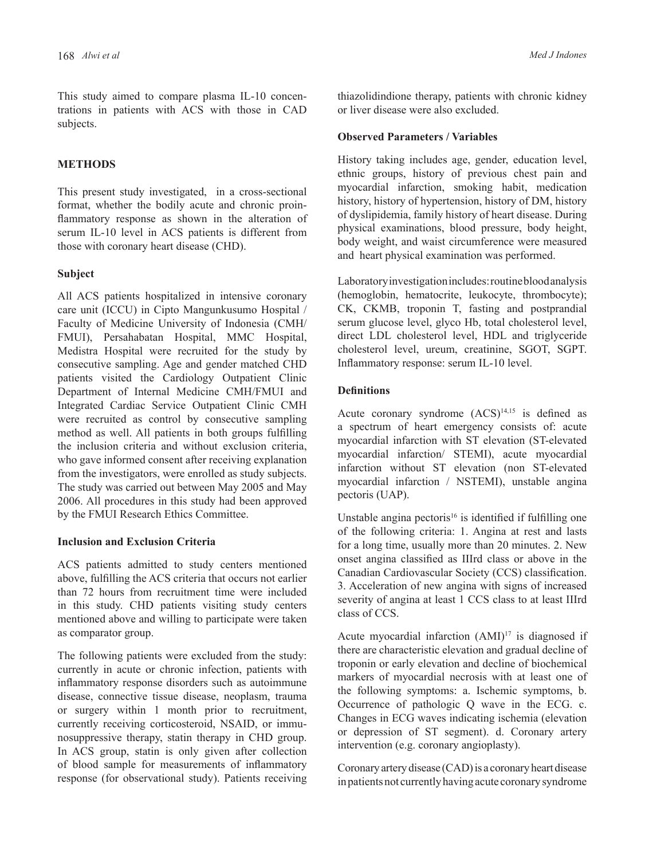This study aimed to compare plasma IL-10 concentrations in patients with ACS with those in CAD subjects.

# **METHODS**

This present study investigated, in a cross-sectional format, whether the bodily acute and chronic proinflammatory response as shown in the alteration of serum IL-10 level in ACS patients is different from those with coronary heart disease (CHD).

## **Subject**

All ACS patients hospitalized in intensive coronary care unit (ICCU) in Cipto Mangunkusumo Hospital / Faculty of Medicine University of Indonesia (CMH/ FMUI), Persahabatan Hospital, MMC Hospital, Medistra Hospital were recruited for the study by consecutive sampling. Age and gender matched CHD patients visited the Cardiology Outpatient Clinic Department of Internal Medicine CMH/FMUI and Integrated Cardiac Service Outpatient Clinic CMH were recruited as control by consecutive sampling method as well. All patients in both groups fulfilling the inclusion criteria and without exclusion criteria, who gave informed consent after receiving explanation from the investigators, were enrolled as study subjects. The study was carried out between May 2005 and May 2006. All procedures in this study had been approved by the FMUI Research Ethics Committee.

## **Inclusion and Exclusion Criteria**

ACS patients admitted to study centers mentioned above, fulfilling the ACS criteria that occurs not earlier than 72 hours from recruitment time were included in this study. CHD patients visiting study centers mentioned above and willing to participate were taken as comparator group.

The following patients were excluded from the study: currently in acute or chronic infection, patients with inflammatory response disorders such as autoimmune disease, connective tissue disease, neoplasm, trauma or surgery within 1 month prior to recruitment, currently receiving corticosteroid, NSAID, or immunosuppressive therapy, statin therapy in CHD group. In ACS group, statin is only given after collection of blood sample for measurements of inflammatory response (for observational study). Patients receiving thiazolidindione therapy, patients with chronic kidney or liver disease were also excluded.

#### **Observed Parameters / Variables**

History taking includes age, gender, education level, ethnic groups, history of previous chest pain and myocardial infarction, smoking habit, medication history, history of hypertension, history of DM, history of dyslipidemia, family history of heart disease. During physical examinations, blood pressure, body height, body weight, and waist circumference were measured and heart physical examination was performed.

Laboratory investigation includes: routine blood analysis (hemoglobin, hematocrite, leukocyte, thrombocyte); CK, CKMB, troponin T, fasting and postprandial serum glucose level, glyco Hb, total cholesterol level, direct LDL cholesterol level, HDL and triglyceride cholesterol level, ureum, creatinine, SGOT, SGPT. Inflammatory response: serum IL-10 level.

# **Definitions**

Acute coronary syndrome  $(ACS)^{14,15}$  is defined as a spectrum of heart emergency consists of: acute myocardial infarction with ST elevation (ST-elevated myocardial infarction/ STEMI), acute myocardial infarction without ST elevation (non ST-elevated myocardial infarction / NSTEMI), unstable angina pectoris (UAP).

Unstable angina pectoris<sup>16</sup> is identified if fulfilling one of the following criteria: 1. Angina at rest and lasts for a long time, usually more than 20 minutes. 2. New onset angina classified as IIIrd class or above in the Canadian Cardiovascular Society (CCS) classification. 3. Acceleration of new angina with signs of increased severity of angina at least 1 CCS class to at least IIIrd class of CCS.

Acute myocardial infarction  $(AMI)^{17}$  is diagnosed if there are characteristic elevation and gradual decline of troponin or early elevation and decline of biochemical markers of myocardial necrosis with at least one of the following symptoms: a. Ischemic symptoms, b. Occurrence of pathologic Q wave in the ECG. c. Changes in ECG waves indicating ischemia (elevation or depression of ST segment). d. Coronary artery intervention (e.g. coronary angioplasty).

Coronary artery disease (CAD) is a coronary heart disease in patients not currently having acute coronary syndrome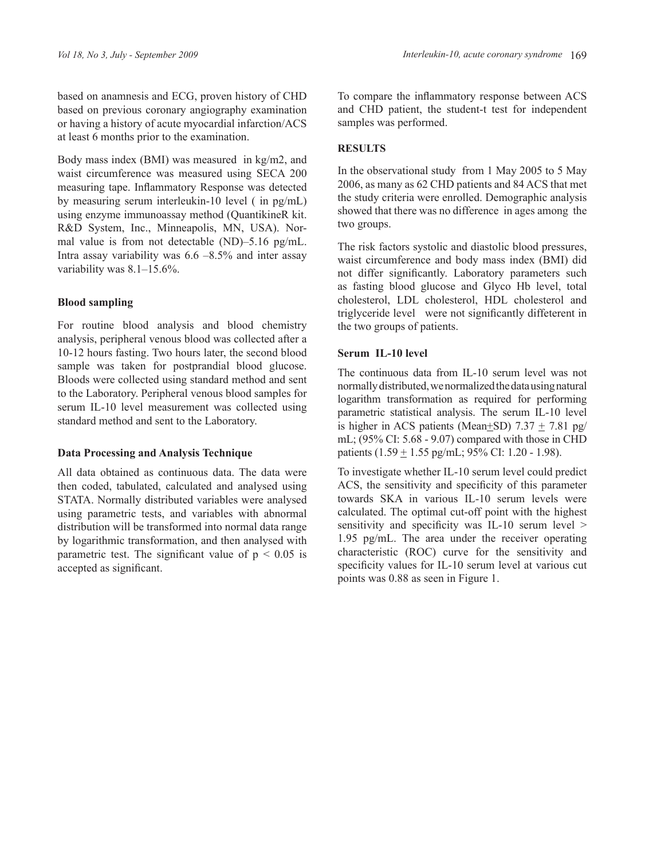based on anamnesis and ECG, proven history of CHD based on previous coronary angiography examination or having a history of acute myocardial infarction/ACS at least 6 months prior to the examination.

Body mass index (BMI) was measured in kg/m2, and waist circumference was measured using SECA 200 measuring tape. Inflammatory Response was detected by measuring serum interleukin-10 level ( in pg/mL) using enzyme immunoassay method (QuantikineR kit. R&D System, Inc., Minneapolis, MN, USA). Normal value is from not detectable (ND)–5.16 pg/mL. Intra assay variability was  $6.6 - 8.5\%$  and inter assay variability was 8.1–15.6%.

# **Blood sampling**

For routine blood analysis and blood chemistry analysis, peripheral venous blood was collected after a 10-12 hours fasting. Two hours later, the second blood sample was taken for postprandial blood glucose. Bloods were collected using standard method and sent to the Laboratory. Peripheral venous blood samples for serum IL-10 level measurement was collected using standard method and sent to the Laboratory.

## **Data Processing and Analysis Technique**

All data obtained as continuous data. The data were then coded, tabulated, calculated and analysed using STATA. Normally distributed variables were analysed using parametric tests, and variables with abnormal distribution will be transformed into normal data range by logarithmic transformation, and then analysed with parametric test. The significant value of  $p < 0.05$  is accepted as significant.

To compare the inflammatory response between ACS and CHD patient, the student-t test for independent samples was performed.

# **RESULTS**

In the observational study from 1 May 2005 to 5 May 2006, as many as 62 CHD patients and 84 ACS that met the study criteria were enrolled. Demographic analysis showed that there was no difference in ages among the two groups.

The risk factors systolic and diastolic blood pressures, waist circumference and body mass index (BMI) did not differ significantly. Laboratory parameters such as fasting blood glucose and Glyco Hb level, total cholesterol, LDL cholesterol, HDL cholesterol and triglyceride level were not significantly diffeterent in the two groups of patients.

# **Serum IL-10 level**

The continuous data from IL-10 serum level was not normally distributed, we normalized the data using natural logarithm transformation as required for performing parametric statistical analysis. The serum IL-10 level is higher in ACS patients (Mean+SD)  $7.37 + 7.81$  pg/ mL; (95% CI: 5.68 - 9.07) compared with those in CHD patients  $(1.59 \pm 1.55 \text{ pg/mL}; 95\% \text{ CI}: 1.20 - 1.98)$ .

To investigate whether IL-10 serum level could predict ACS, the sensitivity and specificity of this parameter towards SKA in various IL-10 serum levels were calculated. The optimal cut-off point with the highest sensitivity and specificity was IL-10 serum level > 1.95 pg/mL. The area under the receiver operating characteristic (ROC) curve for the sensitivity and specificity values for IL-10 serum level at various cut points was 0.88 as seen in Figure 1.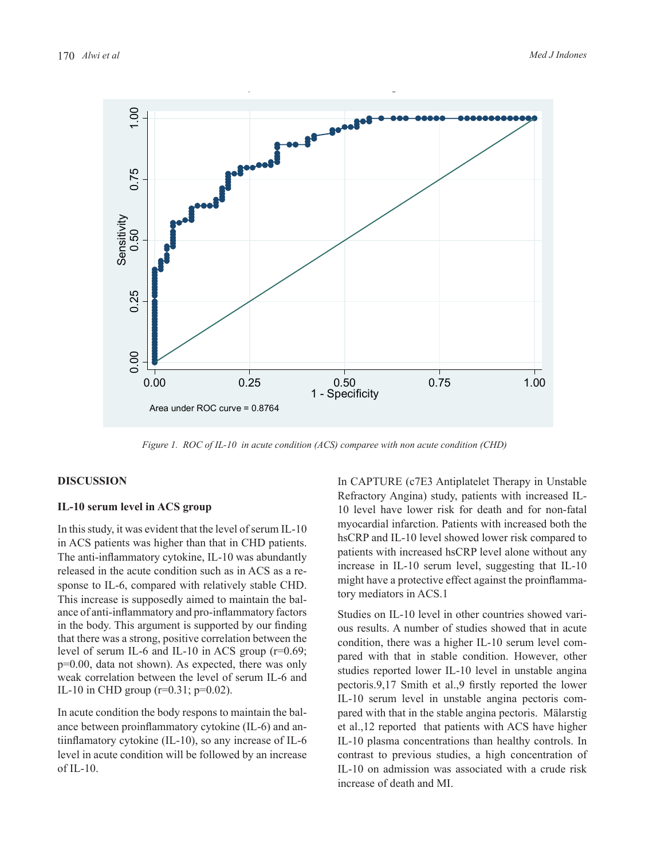

Figure 1. ROC of IL-10 in acute condition (ACS) comparee with non acute condition (CHD)

# **DISCUSSION DISCUSSION**

#### **IL‐10 serum level in ACS group IL-10 serum level in ACS group**

 In this study, it was evident that the level of serum IL-10 sponse to IL-6, compared with relatively stable CHD.  $\frac{mgn \cdot \text{index of projective effect against the prominent} }{ \text{length of } \text{CG 1}}$ This increase is supposedly aimed to maintain the bal- $\frac{101 \text{ m}}{2}$  and  $\frac{101 \text{ m}}{2}$  and  $\frac{101 \text{ m}}{2}$  and  $\frac{101 \text{ m}}{2}$  and  $\frac{101 \text{ m}}{2}$  and  $\frac{101 \text{ m}}{2}$  and  $\frac{101 \text{ m}}{2}$  and  $\frac{101 \text{ m}}{2}$  and studies reported the level of serum IL-6 and studies reported the level of serum IL-6 and in ACS patients was higher than that in CHD patients. The anti-inflammatory cytokine, IL-10 was abundantly released in the acute condition such as in ACS as a reance of anti-inflammatory and pro-inflammatory factors that there was a strong, positive correlation between the level of serum IL-6 and IL-10 in ACS group (r=0.69; p=0.00, data not shown). As expected, there was only IL-10 in CHD group ( $r=0.31$ ;  $p=0.02$ ).

In acute condition the body respons to maintain the balance between proinflammatory cytokine (IL-6) and antiinflamatory cytokine (IL-10), so any increase of IL-6 level in acute condition will be followed by an increase of  $IL-10$ .

inflammatory cytokine IL–10 was abundantly patients with increased hsCRP level alone without any  $\frac{1}{2}$ in the acute condition such as in ACS as a re-<br>increase in IL-10 serum level, suggesting that IL-10 In CAPTURE (c7E3 Antiplatelet Therapy in Unstable Refractory Angina) study, patients with increased IL-10 level have lower risk for death and for non-fatal myocardial infarction. Patients with increased both the hsCRP and IL-10 level showed lower risk compared to might have a protective effect against the proinflammatory mediators in ACS.1

in the body. This argument is supported by our finding that the body. This argument is supported by our finding that the body. was a strong, positive correlation between the condition, there was a higher IL-10 serum level combetum i.e. o and i.e. iv in ACS group  $(1-0.09)$ , pared with that in stable condition. However, other Studies on IL-10 level in other countries showed various results. A number of studies showed that in acute studies reported lower IL-10 level in unstable angina pectoris.9,17 Smith et al.,9 firstly reported the lower IL-10 serum level in unstable angina pectoris compared with that in the stable angina pectoris. Mälarstig et al.,12 reported that patients with ACS have higher IL-10 plasma concentrations than healthy controls. In contrast to previous studies, a high concentration of IL-10 on admission was associated with a crude risk increase of death and MI.